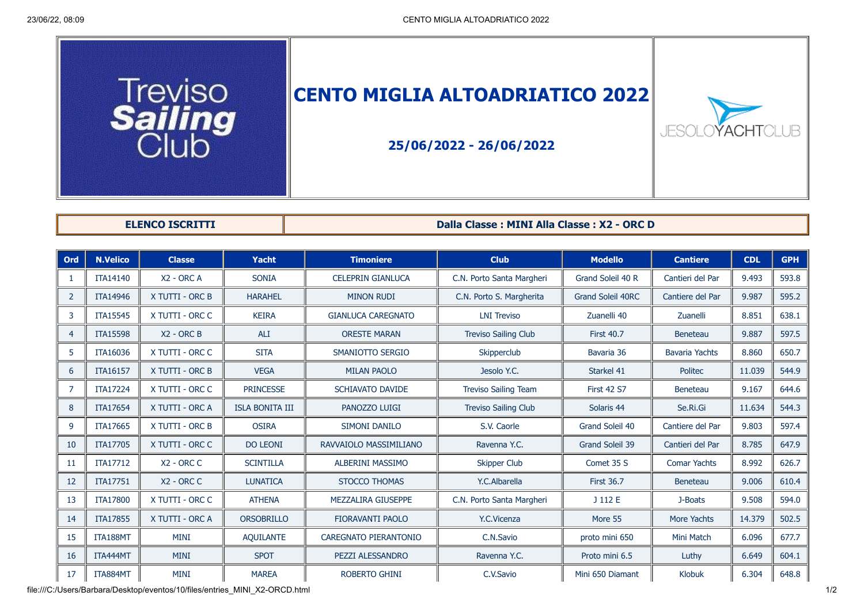

| <b>ELENCO ISCRITTI</b> |
|------------------------|
|------------------------|

**ELENCO ISCRITTI Dalla Classe : MINI Alla Classe : X2 - ORC D**

| Ord            | <b>N.Velico</b> | <b>Classe</b>   | <b>Yacht</b>           | <b>Timoniere</b>             | <b>Club</b>                 | <b>Modello</b>           | <b>Cantiere</b>       | <b>CDL</b> | <b>GPH</b> |
|----------------|-----------------|-----------------|------------------------|------------------------------|-----------------------------|--------------------------|-----------------------|------------|------------|
|                | <b>ITA14140</b> | X2 - ORC A      | <b>SONIA</b>           | <b>CELEPRIN GIANLUCA</b>     | C.N. Porto Santa Margheri   | Grand Soleil 40 R        | Cantieri del Par      | 9.493      | 593.8      |
| $\overline{2}$ | <b>ITA14946</b> | X TUTTI - ORC B | <b>HARAHEL</b>         | <b>MINON RUDI</b>            | C.N. Porto S. Margherita    | <b>Grand Soleil 40RC</b> | Cantiere del Par      | 9.987      | 595.2      |
| 3              | <b>ITA15545</b> | X TUTTI - ORC C | <b>KEIRA</b>           | <b>GIANLUCA CAREGNATO</b>    | <b>LNI Treviso</b>          | Zuanelli 40              | <b>Zuanelli</b>       | 8.851      | 638.1      |
| 4              | <b>ITA15598</b> | $X2 - ORC B$    | <b>ALI</b>             | <b>ORESTE MARAN</b>          | <b>Treviso Sailing Club</b> | <b>First 40.7</b>        | <b>Beneteau</b>       | 9.887      | 597.5      |
| 5              | ITA16036        | X TUTTI - ORC C | <b>SITA</b>            | SMANIOTTO SERGIO             | Skipperclub                 | Bavaria 36               | <b>Bavaria Yachts</b> | 8.860      | 650.7      |
| 6              | ITA16157        | X TUTTI - ORC B | <b>VEGA</b>            | <b>MILAN PAOLO</b>           | Jesolo Y.C.                 | Starkel 41               | Politec               | 11.039     | 544.9      |
|                | <b>ITA17224</b> | X TUTTI - ORC C | <b>PRINCESSE</b>       | <b>SCHIAVATO DAVIDE</b>      | <b>Treviso Sailing Team</b> | <b>First 42 S7</b>       | <b>Beneteau</b>       | 9.167      | 644.6      |
| 8              | <b>ITA17654</b> | X TUTTI - ORC A | <b>ISLA BONITA III</b> | PANOZZO LUIGI                | <b>Treviso Sailing Club</b> | Solaris 44               | Se.Ri.Gi              | 11.634     | 544.3      |
| 9              | ITA17665        | X TUTTI - ORC B | <b>OSIRA</b>           | <b>SIMONI DANILO</b>         | S.V. Caorle                 | Grand Soleil 40          | Cantiere del Par      | 9.803      | 597.4      |
| 10             | <b>ITA17705</b> | X TUTTI - ORC C | <b>DO LEONI</b>        | RAVVAIOLO MASSIMILIANO       | Ravenna Y.C.                | Grand Soleil 39          | Cantieri del Par      | 8.785      | 647.9      |
| 11             | ITA17712        | $X2 - ORC C$    | <b>SCINTILLA</b>       | <b>ALBERINI MASSIMO</b>      | <b>Skipper Club</b>         | Comet 35 S               | <b>Comar Yachts</b>   | 8.992      | 626.7      |
| 12             | <b>ITA17751</b> | $X2 - ORC C$    | <b>LUNATICA</b>        | <b>STOCCO THOMAS</b>         | Y.C.Albarella               | <b>First 36.7</b>        | <b>Beneteau</b>       | 9.006      | 610.4      |
| 13             | <b>ITA17800</b> | X TUTTI - ORC C | <b>ATHENA</b>          | MEZZALIRA GIUSEPPE           | C.N. Porto Santa Margheri   | J 112 E                  | J-Boats               | 9.508      | 594.0      |
| 14             | <b>ITA17855</b> | X TUTTI - ORC A | <b>ORSOBRILLO</b>      | <b>FIORAVANTI PAOLO</b>      | Y.C.Vicenza                 | More 55                  | More Yachts           | 14.379     | 502.5      |
| 15             | ITA188MT        | <b>MINI</b>     | <b>AQUILANTE</b>       | <b>CAREGNATO PIERANTONIO</b> | C.N.Savio                   | proto mini 650           | Mini Match            | 6.096      | 677.7      |
| 16             | ITA444MT        | <b>MINI</b>     | <b>SPOT</b>            | PEZZI ALESSANDRO             | Ravenna Y.C.                | Proto mini 6.5           | Luthy                 | 6.649      | 604.1      |
| 17             | ITA884MT        | <b>MINI</b>     | <b>MAREA</b>           | <b>ROBERTO GHINI</b>         | C.V.Savio                   | Mini 650 Diamant         | Klobuk                | 6.304      | 648.8      |